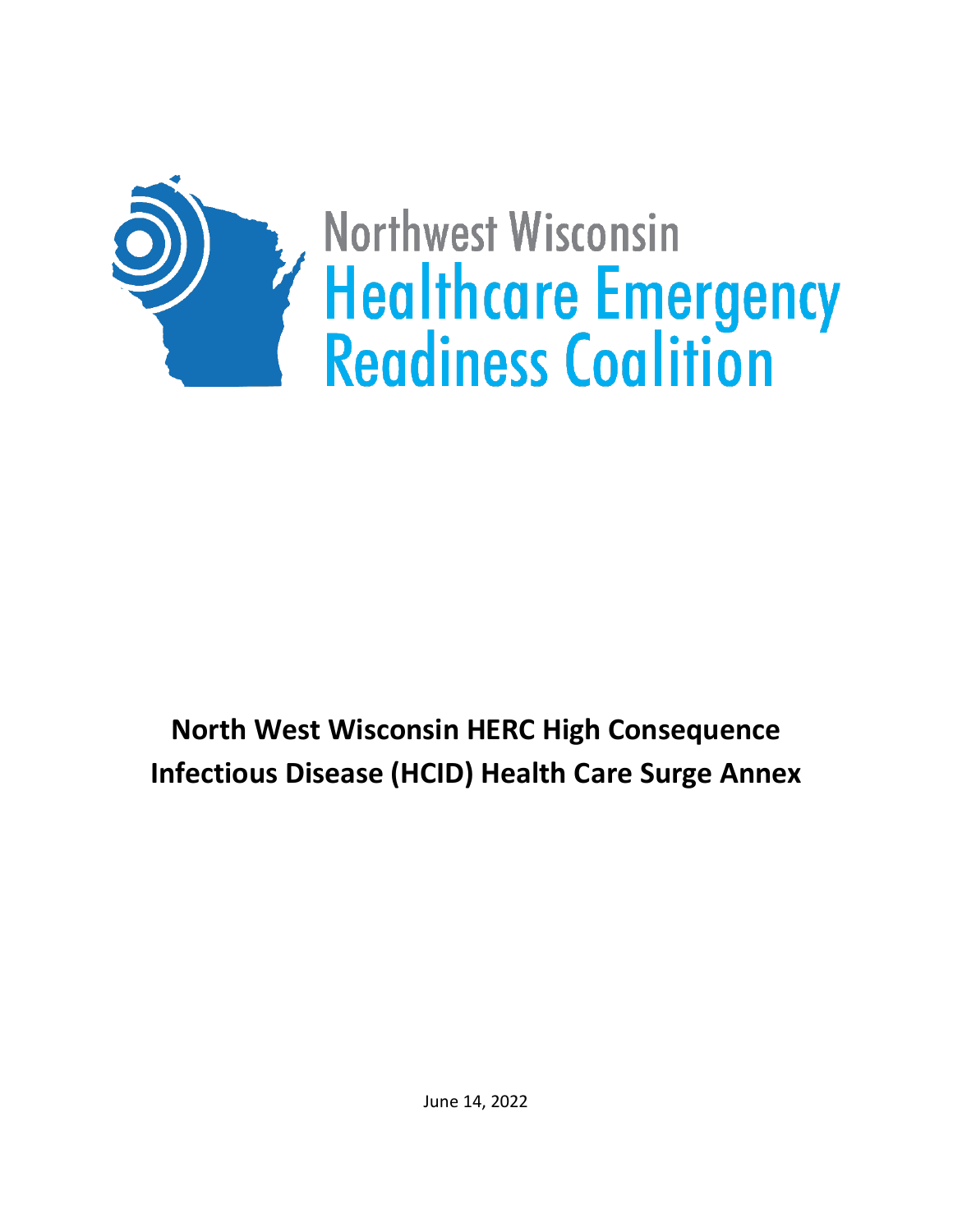

# **North West Wisconsin HERC High Consequence Infectious Disease (HCID) Health Care Surge Annex**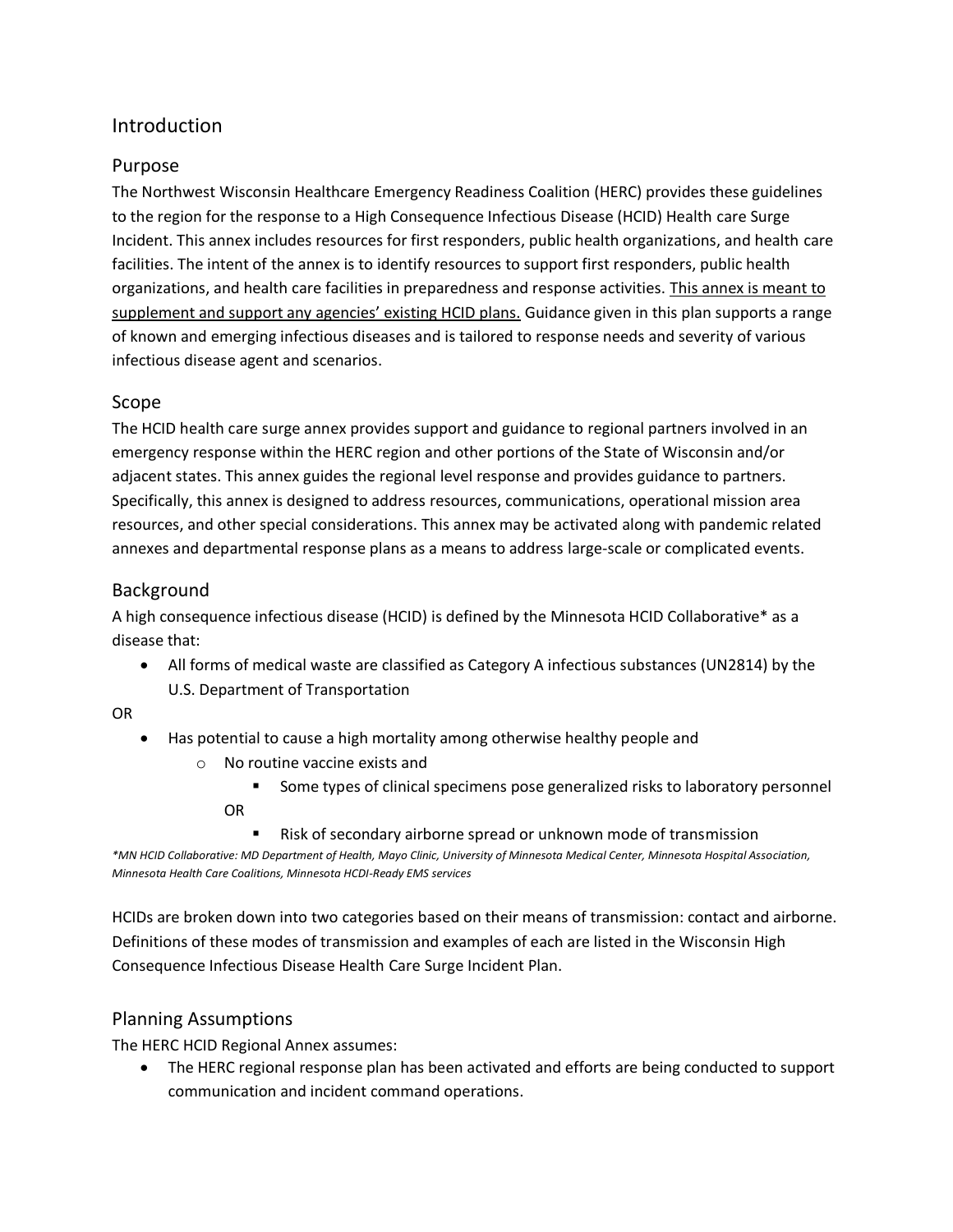## Introduction

#### Purpose

The Northwest Wisconsin Healthcare Emergency Readiness Coalition (HERC) provides these guidelines to the region for the response to a High Consequence Infectious Disease (HCID) Health care Surge Incident. This annex includes resources for first responders, public health organizations, and health care facilities. The intent of the annex is to identify resources to support first responders, public health organizations, and health care facilities in preparedness and response activities. This annex is meant to supplement and support any agencies' existing HCID plans. Guidance given in this plan supports a range of known and emerging infectious diseases and is tailored to response needs and severity of various infectious disease agent and scenarios.

#### Scope

The HCID health care surge annex provides support and guidance to regional partners involved in an emergency response within the HERC region and other portions of the State of Wisconsin and/or adjacent states. This annex guides the regional level response and provides guidance to partners. Specifically, this annex is designed to address resources, communications, operational mission area resources, and other special considerations. This annex may be activated along with pandemic related annexes and departmental response plans as a means to address large-scale or complicated events.

#### Background

A high consequence infectious disease (HCID) is defined by the Minnesota HCID Collaborative\* as a disease that:

• All forms of medical waste are classified as Category A infectious substances (UN2814) by the U.S. Department of Transportation

OR

- Has potential to cause a high mortality among otherwise healthy people and
	- o No routine vaccine exists and
		- Some types of clinical specimens pose generalized risks to laboratory personnel OR
			- Risk of secondary airborne spread or unknown mode of transmission

*\*MN HCID Collaborative: MD Department of Health, Mayo Clinic, University of Minnesota Medical Center, Minnesota Hospital Association, Minnesota Health Care Coalitions, Minnesota HCDI-Ready EMS services*

HCIDs are broken down into two categories based on their means of transmission: contact and airborne. Definitions of these modes of transmission and examples of each are listed in the Wisconsin High Consequence Infectious Disease Health Care Surge Incident Plan.

#### Planning Assumptions

The HERC HCID Regional Annex assumes:

• The HERC regional response plan has been activated and efforts are being conducted to support communication and incident command operations.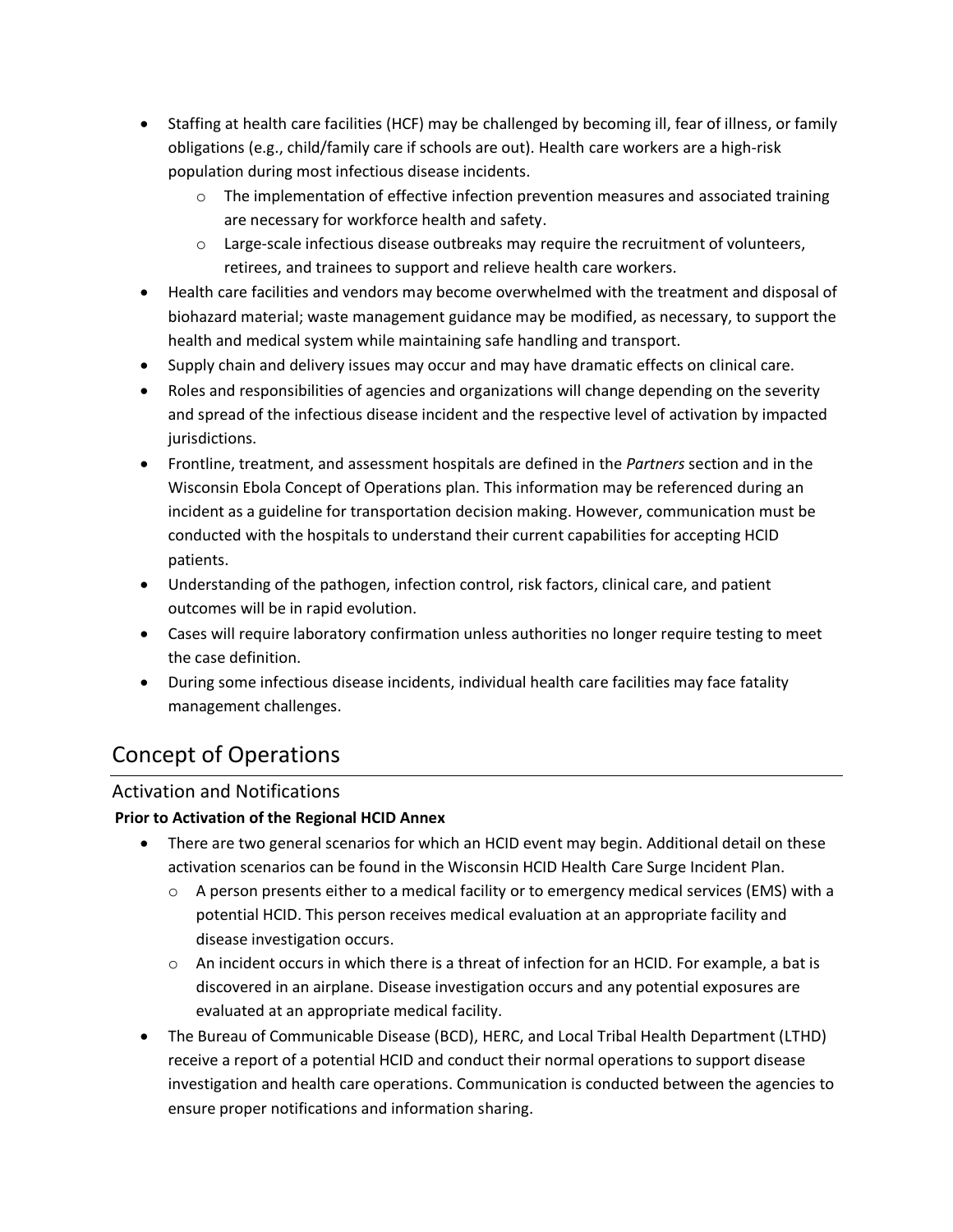- Staffing at health care facilities (HCF) may be challenged by becoming ill, fear of illness, or family obligations (e.g., child/family care if schools are out). Health care workers are a high-risk population during most infectious disease incidents.
	- $\circ$  The implementation of effective infection prevention measures and associated training are necessary for workforce health and safety.
	- $\circ$  Large-scale infectious disease outbreaks may require the recruitment of volunteers, retirees, and trainees to support and relieve health care workers.
- Health care facilities and vendors may become overwhelmed with the treatment and disposal of biohazard material; waste management guidance may be modified, as necessary, to support the health and medical system while maintaining safe handling and transport.
- Supply chain and delivery issues may occur and may have dramatic effects on clinical care.
- Roles and responsibilities of agencies and organizations will change depending on the severity and spread of the infectious disease incident and the respective level of activation by impacted jurisdictions.
- Frontline, treatment, and assessment hospitals are defined in the *Partners* section and in the Wisconsin Ebola Concept of Operations plan. This information may be referenced during an incident as a guideline for transportation decision making. However, communication must be conducted with the hospitals to understand their current capabilities for accepting HCID patients.
- Understanding of the pathogen, infection control, risk factors, clinical care, and patient outcomes will be in rapid evolution.
- Cases will require laboratory confirmation unless authorities no longer require testing to meet the case definition.
- During some infectious disease incidents, individual health care facilities may face fatality management challenges.

# Concept of Operations

### Activation and Notifications

#### **Prior to Activation of the Regional HCID Annex**

- There are two general scenarios for which an HCID event may begin. Additional detail on these activation scenarios can be found in the Wisconsin HCID Health Care Surge Incident Plan.
	- $\circ$  A person presents either to a medical facility or to emergency medical services (EMS) with a potential HCID. This person receives medical evaluation at an appropriate facility and disease investigation occurs.
	- $\circ$  An incident occurs in which there is a threat of infection for an HCID. For example, a bat is discovered in an airplane. Disease investigation occurs and any potential exposures are evaluated at an appropriate medical facility.
- The Bureau of Communicable Disease (BCD), HERC, and Local Tribal Health Department (LTHD) receive a report of a potential HCID and conduct their normal operations to support disease investigation and health care operations. Communication is conducted between the agencies to ensure proper notifications and information sharing.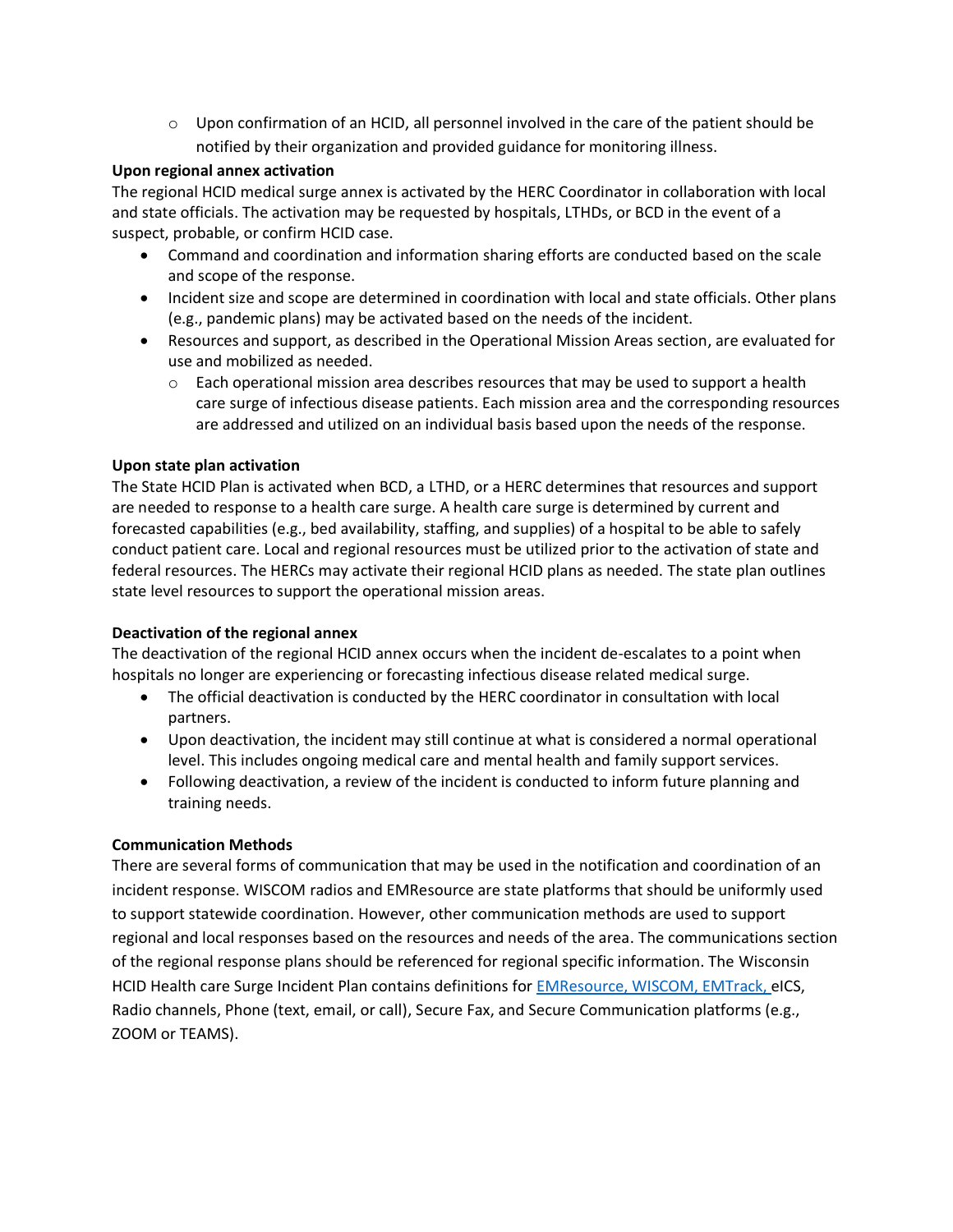$\circ$  Upon confirmation of an HCID, all personnel involved in the care of the patient should be notified by their organization and provided guidance for monitoring illness.

#### **Upon regional annex activation**

The regional HCID medical surge annex is activated by the HERC Coordinator in collaboration with local and state officials. The activation may be requested by hospitals, LTHDs, or BCD in the event of a suspect, probable, or confirm HCID case.

- Command and coordination and information sharing efforts are conducted based on the scale and scope of the response.
- Incident size and scope are determined in coordination with local and state officials. Other plans (e.g., pandemic plans) may be activated based on the needs of the incident.
- Resources and support, as described in the Operational Mission Areas section, are evaluated for use and mobilized as needed.
	- $\circ$  Each operational mission area describes resources that may be used to support a health care surge of infectious disease patients. Each mission area and the corresponding resources are addressed and utilized on an individual basis based upon the needs of the response.

#### **Upon state plan activation**

The State HCID Plan is activated when BCD, a LTHD, or a HERC determines that resources and support are needed to response to a health care surge. A health care surge is determined by current and forecasted capabilities (e.g., bed availability, staffing, and supplies) of a hospital to be able to safely conduct patient care. Local and regional resources must be utilized prior to the activation of state and federal resources. The HERCs may activate their regional HCID plans as needed. The state plan outlines state level resources to support the operational mission areas.

#### **Deactivation of the regional annex**

The deactivation of the regional HCID annex occurs when the incident de-escalates to a point when hospitals no longer are experiencing or forecasting infectious disease related medical surge.

- The official deactivation is conducted by the HERC coordinator in consultation with local partners.
- Upon deactivation, the incident may still continue at what is considered a normal operational level. This includes ongoing medical care and mental health and family support services.
- Following deactivation, a review of the incident is conducted to inform future planning and training needs.

#### **Communication Methods**

There are several forms of communication that may be used in the notification and coordination of an incident response. WISCOM radios and EMResource are state platforms that should be uniformly used to support statewide coordination. However, other communication methods are used to support regional and local responses based on the resources and needs of the area. The communications section of the regional response plans should be referenced for regional specific information. The Wisconsin HCID Health care Surge Incident Plan contains definitions for [EMResource,](https://www.dhs.wisconsin.gov/preparedness/systems/emresource.htm) [WISCOM,](https://oec.wi.gov/wiscom/) [EMTrack,](https://www.dhs.wisconsin.gov/preparedness/systems/emtrack.htm) eICS, Radio channels, Phone (text, email, or call), Secure Fax, and Secure Communication platforms (e.g., ZOOM or TEAMS).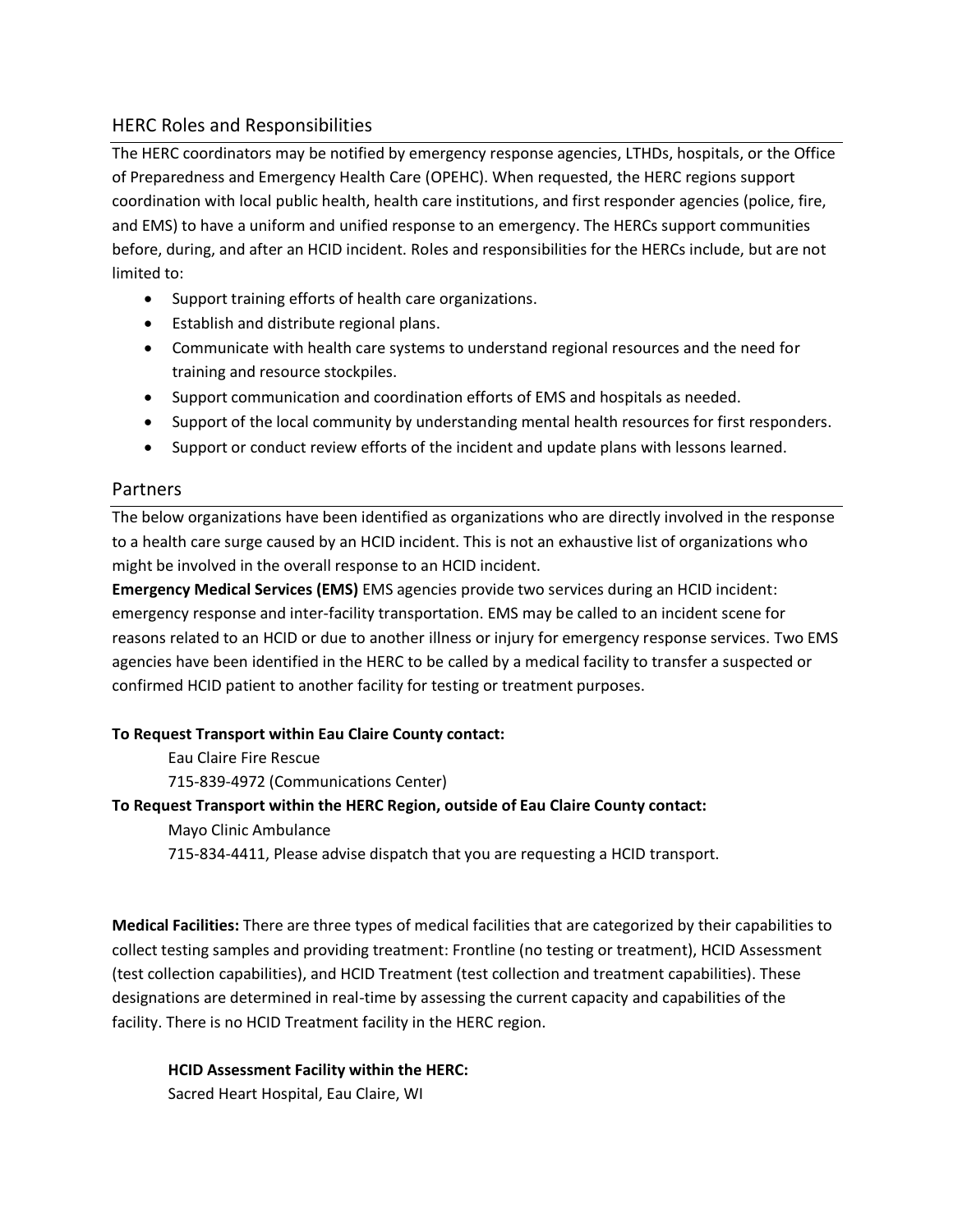#### HERC Roles and Responsibilities

The HERC coordinators may be notified by emergency response agencies, LTHDs, hospitals, or the Office of Preparedness and Emergency Health Care (OPEHC). When requested, the HERC regions support coordination with local public health, health care institutions, and first responder agencies (police, fire, and EMS) to have a uniform and unified response to an emergency. The HERCs support communities before, during, and after an HCID incident. Roles and responsibilities for the HERCs include, but are not limited to:

- Support training efforts of health care organizations.
- Establish and distribute regional plans.
- Communicate with health care systems to understand regional resources and the need for training and resource stockpiles.
- Support communication and coordination efforts of EMS and hospitals as needed.
- Support of the local community by understanding mental health resources for first responders.
- Support or conduct review efforts of the incident and update plans with lessons learned.

#### Partners

The below organizations have been identified as organizations who are directly involved in the response to a health care surge caused by an HCID incident. This is not an exhaustive list of organizations who might be involved in the overall response to an HCID incident.

**Emergency Medical Services (EMS)** EMS agencies provide two services during an HCID incident: emergency response and inter-facility transportation. EMS may be called to an incident scene for reasons related to an HCID or due to another illness or injury for emergency response services. Two EMS agencies have been identified in the HERC to be called by a medical facility to transfer a suspected or confirmed HCID patient to another facility for testing or treatment purposes.

#### **To Request Transport within Eau Claire County contact:**

Eau Claire Fire Rescue

715-839-4972 (Communications Center)

#### **To Request Transport within the HERC Region, outside of Eau Claire County contact:**

Mayo Clinic Ambulance

715-834-4411, Please advise dispatch that you are requesting a HCID transport.

**Medical Facilities:** There are three types of medical facilities that are categorized by their capabilities to collect testing samples and providing treatment: Frontline (no testing or treatment), HCID Assessment (test collection capabilities), and HCID Treatment (test collection and treatment capabilities). These designations are determined in real-time by assessing the current capacity and capabilities of the facility. There is no HCID Treatment facility in the HERC region.

#### **HCID Assessment Facility within the HERC:**

Sacred Heart Hospital, Eau Claire, WI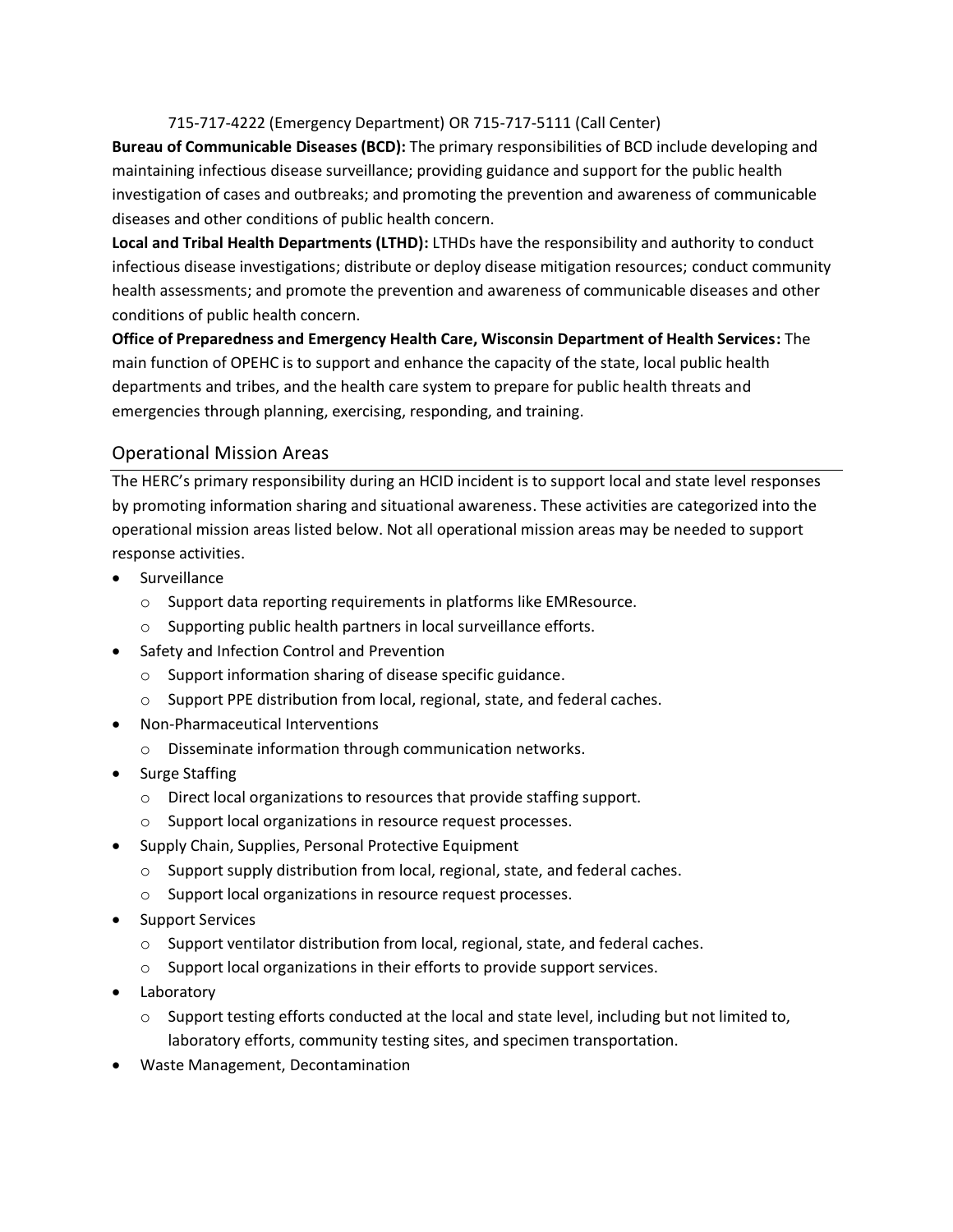#### 715-717-4222 (Emergency Department) OR 715-717-5111 (Call Center)

**Bureau of Communicable Diseases (BCD):** The primary responsibilities of BCD include developing and maintaining infectious disease surveillance; providing guidance and support for the public health investigation of cases and outbreaks; and promoting the prevention and awareness of communicable diseases and other conditions of public health concern.

**Local and Tribal Health Departments (LTHD):** LTHDs have the responsibility and authority to conduct infectious disease investigations; distribute or deploy disease mitigation resources; conduct community health assessments; and promote the prevention and awareness of communicable diseases and other conditions of public health concern.

**Office of Preparedness and Emergency Health Care, Wisconsin Department of Health Services:** The main function of OPEHC is to support and enhance the capacity of the state, local public health departments and tribes, and the health care system to prepare for public health threats and emergencies through planning, exercising, responding, and training.

#### Operational Mission Areas

The HERC's primary responsibility during an HCID incident is to support local and state level responses by promoting information sharing and situational awareness. These activities are categorized into the operational mission areas listed below. Not all operational mission areas may be needed to support response activities.

- Surveillance
	- o Support data reporting requirements in platforms like EMResource.
	- o Supporting public health partners in local surveillance efforts.
- Safety and Infection Control and Prevention
	- o Support information sharing of disease specific guidance.
	- o Support PPE distribution from local, regional, state, and federal caches.
- Non-Pharmaceutical Interventions
	- o Disseminate information through communication networks.
- Surge Staffing
	- o Direct local organizations to resources that provide staffing support.
	- o Support local organizations in resource request processes.
- Supply Chain, Supplies, Personal Protective Equipment
	- $\circ$  Support supply distribution from local, regional, state, and federal caches.
	- o Support local organizations in resource request processes.
- Support Services
	- $\circ$  Support ventilator distribution from local, regional, state, and federal caches.
	- o Support local organizations in their efforts to provide support services.
- Laboratory
	- $\circ$  Support testing efforts conducted at the local and state level, including but not limited to, laboratory efforts, community testing sites, and specimen transportation.
- Waste Management, Decontamination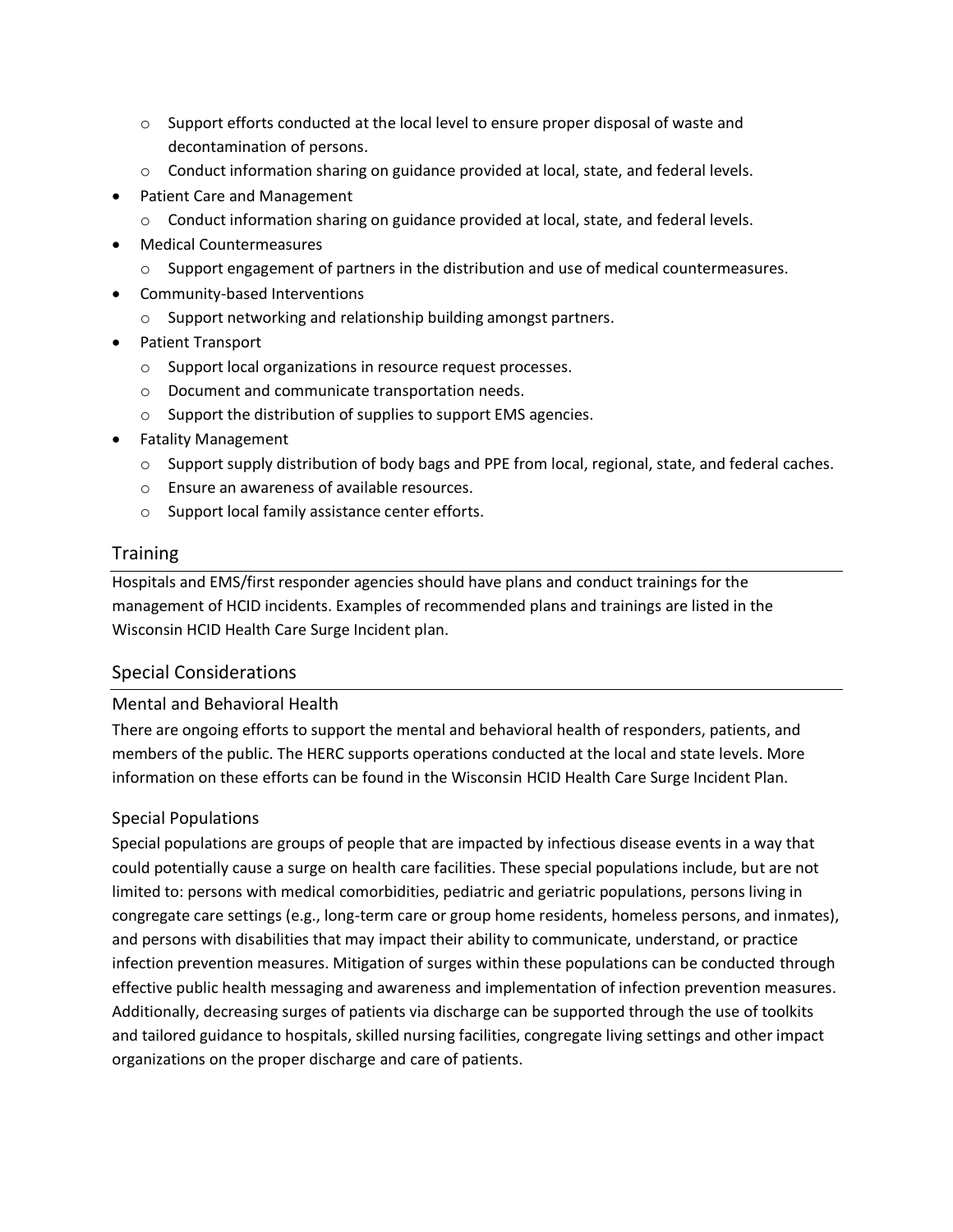- $\circ$  Support efforts conducted at the local level to ensure proper disposal of waste and decontamination of persons.
- $\circ$  Conduct information sharing on guidance provided at local, state, and federal levels.
- Patient Care and Management
	- o Conduct information sharing on guidance provided at local, state, and federal levels.
- Medical Countermeasures
	- $\circ$  Support engagement of partners in the distribution and use of medical countermeasures.
- Community-based Interventions
	- o Support networking and relationship building amongst partners.
- Patient Transport
	- o Support local organizations in resource request processes.
	- o Document and communicate transportation needs.
	- o Support the distribution of supplies to support EMS agencies.
- Fatality Management
	- $\circ$  Support supply distribution of body bags and PPE from local, regional, state, and federal caches.
	- o Ensure an awareness of available resources.
	- o Support local family assistance center efforts.

#### **Training**

Hospitals and EMS/first responder agencies should have plans and conduct trainings for the management of HCID incidents. Examples of recommended plans and trainings are listed in the Wisconsin HCID Health Care Surge Incident plan.

#### Special Considerations

#### Mental and Behavioral Health

There are ongoing efforts to support the mental and behavioral health of responders, patients, and members of the public. The HERC supports operations conducted at the local and state levels. More information on these efforts can be found in the Wisconsin HCID Health Care Surge Incident Plan.

#### Special Populations

Special populations are groups of people that are impacted by infectious disease events in a way that could potentially cause a surge on health care facilities. These special populations include, but are not limited to: persons with medical comorbidities, pediatric and geriatric populations, persons living in congregate care settings (e.g., long-term care or group home residents, homeless persons, and inmates), and persons with disabilities that may impact their ability to communicate, understand, or practice infection prevention measures. Mitigation of surges within these populations can be conducted through effective public health messaging and awareness and implementation of infection prevention measures. Additionally, decreasing surges of patients via discharge can be supported through the use of toolkits and tailored guidance to hospitals, skilled nursing facilities, congregate living settings and other impact organizations on the proper discharge and care of patients.